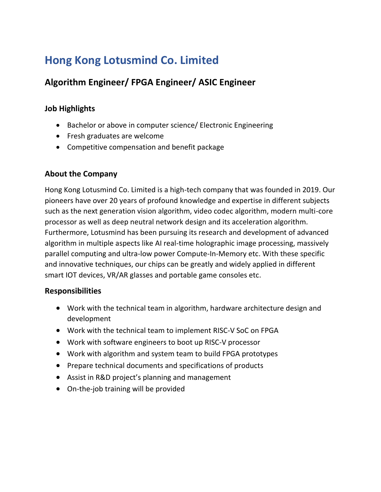# **Hong Kong Lotusmind Co. Limited**

## **Algorithm Engineer/ FPGA Engineer/ ASIC Engineer**

### **Job Highlights**

- Bachelor or above in computer science/ Electronic Engineering
- Fresh graduates are welcome
- Competitive compensation and benefit package

#### **About the Company**

Hong Kong Lotusmind Co. Limited is a high-tech company that was founded in 2019. Our pioneers have over 20 years of profound knowledge and expertise in different subjects such as the next generation vision algorithm, video codec algorithm, modern multi-core processor as well as deep neutral network design and its acceleration algorithm. Furthermore, Lotusmind has been pursuing its research and development of advanced algorithm in multiple aspects like AI real-time holographic image processing, massively parallel computing and ultra-low power Compute-In-Memory etc. With these specific and innovative techniques, our chips can be greatly and widely applied in different smart IOT devices, VR/AR glasses and portable game consoles etc.

#### **Responsibilities**

- Work with the technical team in algorithm, hardware architecture design and development
- Work with the technical team to implement RISC-V SoC on FPGA
- Work with software engineers to boot up RISC-V processor
- Work with algorithm and system team to build FPGA prototypes
- Prepare technical documents and specifications of products
- Assist in R&D project's planning and management
- On-the-job training will be provided